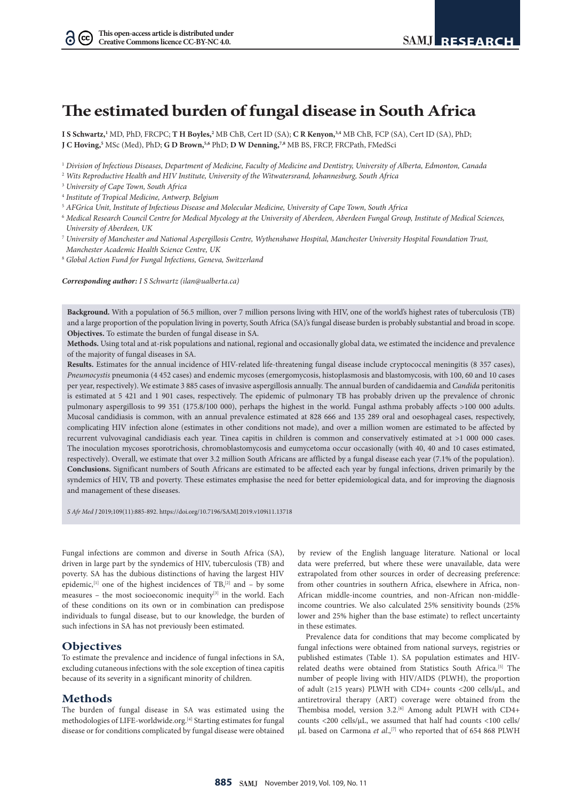# **The estimated burden of fungal disease in South Africa**

**I S Schwartz,1** MD, PhD, FRCPC; **T H Boyles,2** MB ChB, Cert ID (SA); **C R Kenyon,3,4** MB ChB, FCP (SA), Cert ID (SA), PhD; **J C Hoving,5** MSc (Med), PhD; **G D Brown,5,6** PhD; **D W Denning,7,8** MB BS, FRCP, FRCPath, FMedSci

<sup>1</sup> *Division of Infectious Diseases, Department of Medicine, Faculty of Medicine and Dentistry, University of Alberta, Edmonton, Canada*

- <sup>2</sup> *Wits Reproductive Health and HIV Institute, University of the Witwatersrand, Johannesburg, South Africa*
- <sup>3</sup> *University of Cape Town, South Africa*

 $(cc)$ 

- <sup>4</sup> *Institute of Tropical Medicine, Antwerp, Belgium*
- <sup>5</sup> *AFGrica Unit, Institute of Infectious Disease and Molecular Medicine, University of Cape Town, South Africa*
- <sup>6</sup> *Medical Research Council Centre for Medical Mycology at the University of Aberdeen, Aberdeen Fungal Group, Institute of Medical Sciences, University of Aberdeen, UK*
- <sup>7</sup> *University of Manchester and National Aspergillosis Centre, Wythenshawe Hospital, Manchester University Hospital Foundation Trust, Manchester Academic Health Science Centre, UK*
- <sup>8</sup> *Global Action Fund for Fungal Infections, Geneva, Switzerland*

*Corresponding author: I S Schwartz (ilan@ualberta.ca)*

**Background.** With a population of 56.5 million, over 7 million persons living with HIV, one of the world's highest rates of tuberculosis (TB) and a large proportion of the population living in poverty, South Africa (SA)'s fungal disease burden is probably substantial and broad in scope. **Objectives.** To estimate the burden of fungal disease in SA.

**Methods.** Using total and at-risk populations and national, regional and occasionally global data, we estimated the incidence and prevalence of the majority of fungal diseases in SA.

**Results.** Estimates for the annual incidence of HIV-related life-threatening fungal disease include cryptococcal meningitis (8 357 cases), *Pneumocystis* pneumonia (4 452 cases) and endemic mycoses (emergomycosis, histoplasmosis and blastomycosis, with 100, 60 and 10 cases per year, respectively). We estimate 3 885 cases of invasive aspergillosis annually. The annual burden of candidaemia and *Candida* peritonitis is estimated at 5 421 and 1 901 cases, respectively. The epidemic of pulmonary TB has probably driven up the prevalence of chronic pulmonary aspergillosis to 99 351 (175.8/100 000), perhaps the highest in the world. Fungal asthma probably affects >100 000 adults. Mucosal candidiasis is common, with an annual prevalence estimated at 828 666 and 135 289 oral and oesophageal cases, respectively, complicating HIV infection alone (estimates in other conditions not made), and over a million women are estimated to be affected by recurrent vulvovaginal candidiasis each year. Tinea capitis in children is common and conservatively estimated at >1 000 000 cases. The inoculation mycoses sporotrichosis, chromoblastomycosis and eumycetoma occur occasionally (with 40, 40 and 10 cases estimated, respectively). Overall, we estimate that over 3.2 million South Africans are afflicted by a fungal disease each year (7.1% of the population). **Conclusions.** Significant numbers of South Africans are estimated to be affected each year by fungal infections, driven primarily by the syndemics of HIV, TB and poverty. These estimates emphasise the need for better epidemiological data, and for improving the diagnosis and management of these diseases.

*S Afr Med J* 2019;109(11):885-892. https://doi.org/10.7196/SAMJ.2019.v109i11.13718

Fungal infections are common and diverse in South Africa (SA), driven in large part by the syndemics of HIV, tuberculosis (TB) and poverty. SA has the dubious distinctions of having the largest HIV epidemic,<sup>[1]</sup> one of the highest incidences of  $TB$ ,<sup>[2]</sup> and – by some measures – the most socioeconomic inequity $[3]$  in the world. Each of these conditions on its own or in combination can predispose individuals to fungal disease, but to our knowledge, the burden of such infections in SA has not previously been estimated.

# **Objectives**

To estimate the prevalence and incidence of fungal infections in SA, excluding cutaneous infections with the sole exception of tinea capitis because of its severity in a significant minority of children.

### **Methods**

The burden of fungal disease in SA was estimated using the methodologies of LIFE-worldwide.org.<sup>[4]</sup> Starting estimates for fungal disease or for conditions complicated by fungal disease were obtained by review of the English language literature. National or local data were preferred, but where these were unavailable, data were extrapolated from other sources in order of decreasing preference: from other countries in southern Africa, elsewhere in Africa, non-African middle-income countries, and non-African non-middleincome countries. We also calculated 25% sensitivity bounds (25% lower and 25% higher than the base estimate) to reflect uncertainty in these estimates.

Prevalence data for conditions that may become complicated by fungal infections were obtained from national surveys, registries or published estimates (Table 1). SA population estimates and HIVrelated deaths were obtained from Statistics South Africa.[5] The number of people living with HIV/AIDS (PLWH), the proportion of adult (≥15 years) PLWH with CD4+ counts <200 cells/µL, and antiretroviral therapy (ART) coverage were obtained from the Thembisa model, version 3.2.<sup>[6]</sup> Among adult PLWH with CD4+ counts <200 cells/µL, we assumed that half had counts <100 cells/ µL based on Carmona et al.,<sup>[7]</sup> who reported that of 654 868 PLWH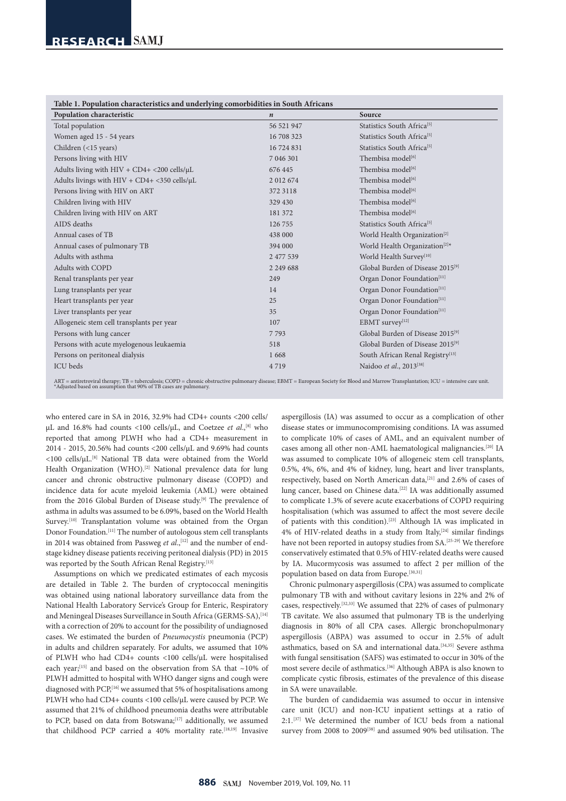| Table 1. Population characteristics and underlying comorbidities in South Africans |                                              |  |  |  |  |  |
|------------------------------------------------------------------------------------|----------------------------------------------|--|--|--|--|--|
| $\boldsymbol{n}$                                                                   | Source                                       |  |  |  |  |  |
| 56 521 947                                                                         | Statistics South Africa <sup>[5]</sup>       |  |  |  |  |  |
| 16 708 323                                                                         | Statistics South Africa <sup>[5]</sup>       |  |  |  |  |  |
| 16 724 831                                                                         | Statistics South Africa <sup>[5]</sup>       |  |  |  |  |  |
| 7 046 301                                                                          | Thembisa model <sup>[6]</sup>                |  |  |  |  |  |
| 676 445                                                                            | Thembisa model <sup>[6]</sup>                |  |  |  |  |  |
| 2 012 674                                                                          | Thembisa model <sup>[6]</sup>                |  |  |  |  |  |
| 372 3118                                                                           | Thembisa model <sup>[6]</sup>                |  |  |  |  |  |
| 329 430                                                                            | Thembisa model <sup>[6]</sup>                |  |  |  |  |  |
| 181 372                                                                            | Thembisa model <sup>[6]</sup>                |  |  |  |  |  |
| 126 755                                                                            | Statistics South Africa <sup>[5]</sup>       |  |  |  |  |  |
| 438 000                                                                            | World Health Organization <sup>[2]</sup>     |  |  |  |  |  |
| 394 000                                                                            | World Health Organization <sup>[2]*</sup>    |  |  |  |  |  |
| 2 477 539                                                                          | World Health Survey <sup>[10]</sup>          |  |  |  |  |  |
| 2 2 4 9 6 8 8                                                                      | Global Burden of Disease 2015 <sup>[9]</sup> |  |  |  |  |  |
| 249                                                                                | Organ Donor Foundation <sup>[11]</sup>       |  |  |  |  |  |
| 14                                                                                 | Organ Donor Foundation <sup>[11]</sup>       |  |  |  |  |  |
| 25                                                                                 | Organ Donor Foundation <sup>[11]</sup>       |  |  |  |  |  |
| 35                                                                                 | Organ Donor Foundation <sup>[11]</sup>       |  |  |  |  |  |
| 107                                                                                | EBMT survey[12]                              |  |  |  |  |  |
| 7793                                                                               | Global Burden of Disease 2015 <sup>[9]</sup> |  |  |  |  |  |
| 518                                                                                | Global Burden of Disease 2015 <sup>[9]</sup> |  |  |  |  |  |
| 1668                                                                               | South African Renal Registry <sup>[13]</sup> |  |  |  |  |  |
| 4719                                                                               | Naidoo et al., 2013 <sup>[38]</sup>          |  |  |  |  |  |
|                                                                                    |                                              |  |  |  |  |  |

ART = antiretroviral therapy; TB = tuberculosis; COPD = chronic obstructive pulmonary disease; EBMT = European Society for Blood and Marrow Transplantation; ICU = intensive care unit.<br>\*Adjusted based on assumption that 90%

who entered care in SA in 2016, 32.9% had CD4+ counts <200 cells/ µL and 16.8% had counts <100 cells/µL, and Coetzee *et al*.,[8] who reported that among PLWH who had a CD4+ measurement in 2014 - 2015, 20.56% had counts <200 cells/µL and 9.69% had counts <100 cells/µL.[8] National TB data were obtained from the World Health Organization (WHO).<sup>[2]</sup> National prevalence data for lung cancer and chronic obstructive pulmonary disease (COPD) and incidence data for acute myeloid leukemia (AML) were obtained from the 2016 Global Burden of Disease study.<sup>[9]</sup> The prevalence of asthma in adults was assumed to be 6.09%, based on the World Health Survey.<sup>[10]</sup> Transplantation volume was obtained from the Organ Donor Foundation.[11] The number of autologous stem cell transplants in 2014 was obtained from Passweg *et al.*,<sup>[12]</sup> and the number of endstage kidney disease patients receiving peritoneal dialysis (PD) in 2015 was reported by the South African Renal Registry.<sup>[13]</sup>

Assumptions on which we predicated estimates of each mycosis are detailed in Table 2. The burden of cryptococcal meningitis was obtained using national laboratory surveillance data from the National Health Laboratory Service's Group for Enteric, Respiratory and Meningeal Diseases Surveillance in South Africa (GERMS-SA), [14] with a correction of 20% to account for the possibility of undiagnosed cases. We estimated the burden of *Pneumocystis* pneumonia (PCP) in adults and children separately. For adults, we assumed that 10% of PLWH who had CD4+ counts <100 cells/µL were hospitalised each year;<sup>[15]</sup> and based on the observation from SA that  $\sim$ 10% of PLWH admitted to hospital with WHO danger signs and cough were diagnosed with PCP,<sup>[16]</sup> we assumed that 5% of hospitalisations among PLWH who had CD4+ counts <100 cells/µL were caused by PCP. We assumed that 21% of childhood pneumonia deaths were attributable to PCP, based on data from Botswana;<sup>[17]</sup> additionally, we assumed that childhood PCP carried a 40% mortality rate.<sup>[18,19]</sup> Invasive

aspergillosis (IA) was assumed to occur as a complication of other disease states or immunocompromising conditions. IA was assumed to complicate 10% of cases of AML, and an equivalent number of cases among all other non-AML haematological malignancies.[20] IA was assumed to complicate 10% of allogeneic stem cell transplants, 0.5%, 4%, 6%, and 4% of kidney, lung, heart and liver transplants, respectively, based on North American data,<sup>[21]</sup> and 2.6% of cases of lung cancer, based on Chinese data.<sup>[22]</sup> IA was additionally assumed to complicate 1.3% of severe acute exacerbations of COPD requiring hospitalisation (which was assumed to affect the most severe decile of patients with this condition).[23] Although IA was implicated in  $4\%$  of HIV-related deaths in a study from Italy,  $^{[24]}$  similar findings have not been reported in autopsy studies from SA.[25-29] We therefore conservatively estimated that 0.5% of HIV-related deaths were caused by IA. Mucormycosis was assumed to affect 2 per million of the population based on data from Europe.<sup>[30,31]</sup>

Chronic pulmonary aspergillosis (CPA) was assumed to complicate pulmonary TB with and without cavitary lesions in 22% and 2% of cases, respectively.[32,33] We assumed that 22% of cases of pulmonary TB cavitate. We also assumed that pulmonary TB is the underlying diagnosis in 80% of all CPA cases. Allergic bronchopulmonary aspergillosis (ABPA) was assumed to occur in 2.5% of adult asthmatics, based on SA and international data.[34,35] Severe asthma with fungal sensitisation (SAFS) was estimated to occur in 30% of the most severe decile of asthmatics.[36] Although ABPA is also known to complicate cystic fibrosis, estimates of the prevalence of this disease in SA were unavailable.

The burden of candidaemia was assumed to occur in intensive care unit (ICU) and non-ICU inpatient settings at a ratio of 2:1.[37] We determined the number of ICU beds from a national survey from 2008 to 2009[38] and assumed 90% bed utilisation. The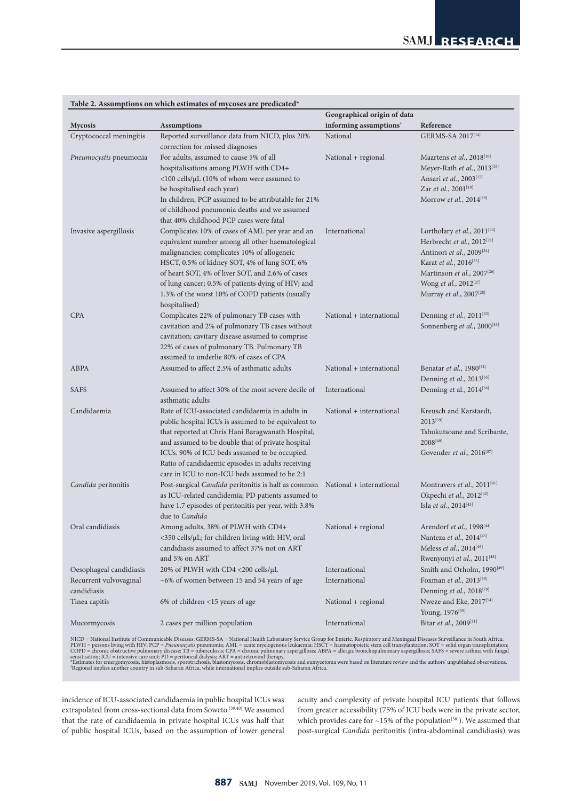|                                       | Table 2. Assumptions on which estimates of inycoses are predicated                                                                                                                                                                                                                                                                                                               |                                    |                                                                                                                                                                                                                                                                            |
|---------------------------------------|----------------------------------------------------------------------------------------------------------------------------------------------------------------------------------------------------------------------------------------------------------------------------------------------------------------------------------------------------------------------------------|------------------------------------|----------------------------------------------------------------------------------------------------------------------------------------------------------------------------------------------------------------------------------------------------------------------------|
|                                       |                                                                                                                                                                                                                                                                                                                                                                                  | Geographical origin of data        |                                                                                                                                                                                                                                                                            |
| <b>Mycosis</b>                        | <b>Assumptions</b>                                                                                                                                                                                                                                                                                                                                                               | informing assumptions <sup>†</sup> | Reference                                                                                                                                                                                                                                                                  |
| Cryptococcal meningitis               | Reported surveillance data from NICD, plus 20%<br>correction for missed diagnoses                                                                                                                                                                                                                                                                                                | National                           | GERMS-SA 2017[14]                                                                                                                                                                                                                                                          |
| Pneumocystis pneumonia                | For adults, assumed to cause 5% of all<br>hospitalisations among PLWH with CD4+<br>$<\!\!100$ cells/µL (10% of whom were assumed to<br>be hospitalised each year)<br>In children, PCP assumed to be attributable for 21%                                                                                                                                                         | National + regional                | Maartens et al., 2018 <sup>[16]</sup><br>Meyer-Rath et al., 2013[15]<br>Ansari et al., 2003 <sup>[17]</sup><br>Zar et al., 2001 <sup>[18]</sup><br>Morrow et al., 2014[19]                                                                                                 |
|                                       | of childhood pneumonia deaths and we assumed<br>that 40% childhood PCP cases were fatal                                                                                                                                                                                                                                                                                          |                                    |                                                                                                                                                                                                                                                                            |
| Invasive aspergillosis                | Complicates 10% of cases of AML per year and an<br>equivalent number among all other haematological<br>malignancies; complicates 10% of allogeneic<br>HSCT, 0.5% of kidney SOT, 4% of lung SOT, 6%<br>of heart SOT, 4% of liver SOT, and 2.6% of cases<br>of lung cancer; 0.5% of patients dying of HIV; and<br>1.3% of the worst 10% of COPD patients (usually<br>hospitalised) | International                      | Lortholary et al., 2011[20]<br>Herbrecht et al., 2012 <sup>[21]</sup><br>Antinori et al., 2009 <sup>[24]</sup><br>Karat et al., 2016 <sup>[25]</sup><br>Martinson et al., 2007 <sup>[26]</sup><br>Wong et al., 2012 <sup>[27]</sup><br>Murray et al., 2007 <sup>[28]</sup> |
| <b>CPA</b>                            | Complicates 22% of pulmonary TB cases with<br>cavitation and 2% of pulmonary TB cases without<br>cavitation; cavitary disease assumed to comprise<br>22% of cases of pulmonary TB. Pulmonary TB<br>assumed to underlie 80% of cases of CPA                                                                                                                                       | National + international           | Denning et al., $2011^{[32]}$<br>Sonnenberg et al., 2000[33]                                                                                                                                                                                                               |
| ABPA                                  | Assumed to affect 2.5% of asthmatic adults                                                                                                                                                                                                                                                                                                                                       | National + international           | Benatar <i>et al.</i> , 1980 <sup>[34]</sup><br>Denning et al., $2013^{[35]}$                                                                                                                                                                                              |
| SAFS                                  | Assumed to affect 30% of the most severe decile of<br>asthmatic adults                                                                                                                                                                                                                                                                                                           | International                      | Denning et al., 2014 <sup>[36]</sup>                                                                                                                                                                                                                                       |
| Candidaemia                           | Rate of ICU-associated candidaemia in adults in<br>public hospital ICUs is assumed to be equivalent to<br>that reported at Chris Hani Baragwanath Hospital,<br>and assumed to be double that of private hospital<br>ICUs. 90% of ICU beds assumed to be occupied.<br>Ratio of candidaemic episodes in adults receiving<br>care in ICU to non-ICU beds assumed to be 2:1          | National + international           | Kreusch and Karstaedt,<br>$2013^{[39]}$<br>Tshukutsoane and Scribante,<br>$2008^{[40]}$<br>Govender et al., 2016 <sup>[37]</sup>                                                                                                                                           |
| Candida peritonitis                   | Post-surgical Candida peritonitis is half as common<br>as ICU-related candidemia; PD patients assumed to<br>have 1.7 episodes of peritonitis per year, with 3.8%<br>due to Candida                                                                                                                                                                                               | National + international           | Montravers et al., 2011 <sup>[41]</sup><br>Okpechi et al., 2012 <sup>[42]</sup><br>Isla et al., 2014[43]                                                                                                                                                                   |
| Oral candidiasis                      | Among adults, 38% of PLWH with CD4+<br><350 cells/µL; for children living with HIV, oral<br>candidiasis assumed to affect 37% not on ART<br>and 5% on ART                                                                                                                                                                                                                        | National + regional                | Arendorf et al., 1998 <sup>[44]</sup><br>Nanteza et al., 2014 <sup>[45]</sup><br>Meless et al., $2014^{[46]}$<br>Rwenyonyi et al., 2011 <sup>[48]</sup>                                                                                                                    |
| Oesophageal candidiasis               | 20% of PLWH with CD4 <200 cells/μL                                                                                                                                                                                                                                                                                                                                               | International                      | Smith and Orholm, 1990 <sup>[49]</sup>                                                                                                                                                                                                                                     |
| Recurrent vulvovaginal<br>candidiasis | $~15$ and 54 years of age                                                                                                                                                                                                                                                                                                                                                        | International                      | Foxman et al., 2013[53]<br>Denning et al., $2018^{[79]}$                                                                                                                                                                                                                   |
| Tinea capitis                         | 6% of children <15 years of age                                                                                                                                                                                                                                                                                                                                                  | National + regional                | Nweze and Eke, 2017 <sup>[54]</sup><br>Young, 1976 <sup>[55]</sup>                                                                                                                                                                                                         |
| Mucormycosis                          | 2 cases per million population                                                                                                                                                                                                                                                                                                                                                   | International                      | Bitar et al., 2009 <sup>[31]</sup>                                                                                                                                                                                                                                         |

# **Table 2. Assumptions on which estimates of mycoses are predicated\***

NICD = National Institute of Communicable Diseases; GERMS-SA = National Health Laboratory Service Group for Enteric, Respiratory and Meningeal Diseases Surveillance in South Africa;<br>PLWH = persons living with HIV; PCP = *P* 

incidence of ICU-associated candidaemia in public hospital ICUs was extrapolated from cross-sectional data from Soweto.<sup>[39,40]</sup> We assumed that the rate of candidaemia in private hospital ICUs was half that of public hospital ICUs, based on the assumption of lower general acuity and complexity of private hospital ICU patients that follows from greater accessibility (75% of ICU beds were in the private sector, which provides care for  $\sim$ 15% of the population<sup>[38]</sup>). We assumed that post-surgical *Candida* peritonitis (intra-abdominal candidiasis) was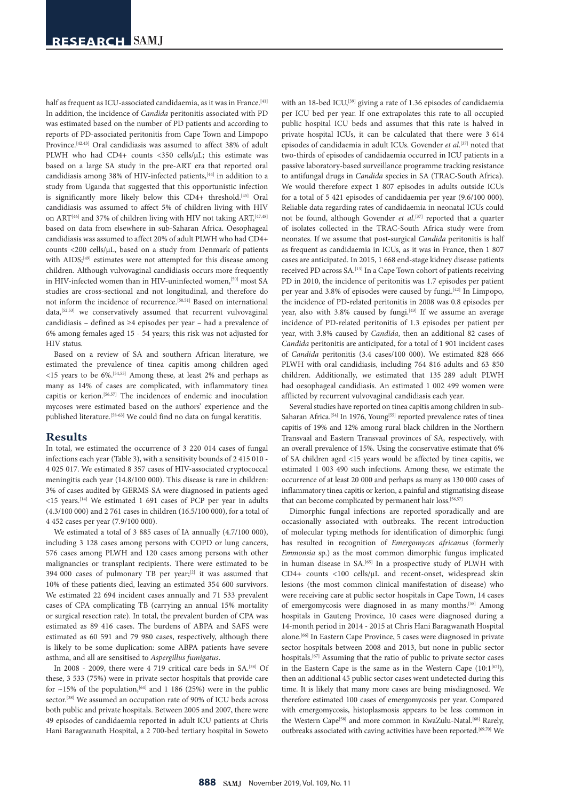half as frequent as ICU-associated candidaemia, as it was in France.<sup>[41]</sup> In addition, the incidence of *Candida* peritonitis associated with PD was estimated based on the number of PD patients and according to reports of PD-associated peritonitis from Cape Town and Limpopo Province.<sup>[42,43]</sup> Oral candidiasis was assumed to affect 38% of adult PLWH who had CD4+ counts <350 cells/µL; this estimate was based on a large SA study in the pre-ART era that reported oral candidiasis among 38% of HIV-infected patients,<sup>[44]</sup> in addition to a study from Uganda that suggested that this opportunistic infection is significantly more likely below this CD4+ threshold.[45] Oral candidiasis was assumed to affect 5% of children living with HIV on ART<sup>[46]</sup> and 37% of children living with HIV not taking ART,<sup>[47,48]</sup> based on data from elsewhere in sub-Saharan Africa. Oesophageal candidiasis was assumed to affect 20% of adult PLWH who had CD4+ counts <200 cells/µL, based on a study from Denmark of patients with AIDS;<sup>[49]</sup> estimates were not attempted for this disease among children. Although vulvovaginal candidiasis occurs more frequently in HIV-infected women than in HIV-uninfected women,<sup>[50]</sup> most SA studies are cross-sectional and not longitudinal, and therefore do not inform the incidence of recurrence.<sup>[50,51]</sup> Based on international data,<sup>[52,53]</sup> we conservatively assumed that recurrent vulvovaginal candidiasis – defined as ≥4 episodes per year – had a prevalence of 6% among females aged 15 - 54 years; this risk was not adjusted for HIV status.

Based on a review of SA and southern African literature, we estimated the prevalence of tinea capitis among children aged <15 years to be 6%.[54,55] Among these, at least 2% and perhaps as many as 14% of cases are complicated, with inflammatory tinea capitis or kerion.[56,57] The incidences of endemic and inoculation mycoses were estimated based on the authors' experience and the published literature.[58-63] We could find no data on fungal keratitis.

### **Results**

In total, we estimated the occurrence of 3 220 014 cases of fungal infections each year (Table 3), with a sensitivity bounds of 2 415 010 - 4 025 017. We estimated 8 357 cases of HIV-associated cryptococcal meningitis each year (14.8/100 000). This disease is rare in children: 3% of cases audited by GERMS-SA were diagnosed in patients aged  $\le$ 15 years.<sup>[14]</sup> We estimated 1 691 cases of PCP per year in adults (4.3/100 000) and 2 761 cases in children (16.5/100 000), for a total of 4 452 cases per year (7.9/100 000).

We estimated a total of 3 885 cases of IA annually (4.7/100 000), including 3 128 cases among persons with COPD or lung cancers, 576 cases among PLWH and 120 cases among persons with other malignancies or transplant recipients. There were estimated to be 394 000 cases of pulmonary TB per year; $[2]$  it was assumed that 10% of these patients died, leaving an estimated 354 600 survivors. We estimated 22 694 incident cases annually and 71 533 prevalent cases of CPA complicating TB (carrying an annual 15% mortality or surgical resection rate). In total, the prevalent burden of CPA was estimated as 89 416 cases. The burdens of ABPA and SAFS were estimated as 60 591 and 79 980 cases, respectively, although there is likely to be some duplication: some ABPA patients have severe asthma, and all are sensitised to *Aspergillus fumigatus*.

In 2008 - 2009, there were 4 719 critical care beds in SA.[38] Of these, 3 533 (75%) were in private sector hospitals that provide care for  $\sim$ 15% of the population,<sup>[64]</sup> and 1 186 (25%) were in the public sector.[38] We assumed an occupation rate of 90% of ICU beds across both public and private hospitals. Between 2005 and 2007, there were 49 episodes of candidaemia reported in adult ICU patients at Chris Hani Baragwanath Hospital, a 2 700-bed tertiary hospital in Soweto

with an 18-bed ICU,<sup>[39]</sup> giving a rate of 1.36 episodes of candidaemia per ICU bed per year. If one extrapolates this rate to all occupied public hospital ICU beds and assumes that this rate is halved in private hospital ICUs, it can be calculated that there were 3 614 episodes of candidaemia in adult ICUs. Govender *et al.*<sup>[37]</sup> noted that two-thirds of episodes of candidaemia occurred in ICU patients in a passive laboratory-based surveillance programme tracking resistance to antifungal drugs in *Candida* species in SA (TRAC-South Africa). We would therefore expect 1 807 episodes in adults outside ICUs for a total of 5 421 episodes of candidaemia per year (9.6/100 000). Reliable data regarding rates of candidaemia in neonatal ICUs could not be found, although Govender *et al*.<sup>[37]</sup> reported that a quarter of isolates collected in the TRAC-South Africa study were from neonates. If we assume that post-surgical *Candida* peritonitis is half as frequent as candidaemia in ICUs, as it was in France, then 1 807 cases are anticipated. In 2015, 1 668 end-stage kidney disease patients received PD across SA.<sup>[13]</sup> In a Cape Town cohort of patients receiving PD in 2010, the incidence of peritonitis was 1.7 episodes per patient per year and 3.8% of episodes were caused by fungi.<sup>[42]</sup> In Limpopo, the incidence of PD-related peritonitis in 2008 was 0.8 episodes per year, also with 3.8% caused by fungi.<sup>[43]</sup> If we assume an average incidence of PD-related peritonitis of 1.3 episodes per patient per year, with 3.8% caused by *Candida*, then an additional 82 cases of *Candida* peritonitis are anticipated, for a total of 1 901 incident cases of *Candida* peritonitis (3.4 cases/100 000). We estimated 828 666 PLWH with oral candidiasis, including 764 816 adults and 63 850 children. Additionally, we estimated that 135 289 adult PLWH had oesophageal candidiasis. An estimated 1 002 499 women were afflicted by recurrent vulvovaginal candidiasis each year.

Several studies have reported on tinea capitis among children in sub-Saharan Africa.<sup>[54]</sup> In 1976, Young<sup>[55]</sup> reported prevalence rates of tinea capitis of 19% and 12% among rural black children in the Northern Transvaal and Eastern Transvaal provinces of SA, respectively, with an overall prevalence of 15%. Using the conservative estimate that 6% of SA children aged <15 years would be affected by tinea capitis, we estimated 1 003 490 such infections. Among these, we estimate the occurrence of at least 20 000 and perhaps as many as 130 000 cases of inflammatory tinea capitis or kerion, a painful and stigmatising disease that can become complicated by permanent hair loss.<sup>[56,57]</sup>

Dimorphic fungal infections are reported sporadically and are occasionally associated with outbreaks. The recent introduction of molecular typing methods for identification of dimorphic fungi has resulted in recognition of *Emergomyces africanus* (formerly *Emmonsia* sp.) as the most common dimorphic fungus implicated in human disease in SA.[65] In a prospective study of PLWH with CD4+ counts <100 cells/µL and recent-onset, widespread skin lesions (the most common clinical manifestation of disease) who were receiving care at public sector hospitals in Cape Town, 14 cases of emergomycosis were diagnosed in as many months.<sup>[58]</sup> Among hospitals in Gauteng Province, 10 cases were diagnosed during a 14-month period in 2014 - 2015 at Chris Hani Baragwanath Hospital alone.[66] In Eastern Cape Province, 5 cases were diagnosed in private sector hospitals between 2008 and 2013, but none in public sector hospitals.<sup>[67]</sup> Assuming that the ratio of public to private sector cases in the Eastern Cape is the same as in the Western Cape  $(10:1^{67})$ , then an additional 45 public sector cases went undetected during this time. It is likely that many more cases are being misdiagnosed. We therefore estimated 100 cases of emergomycosis per year. Compared with emergomycosis, histoplasmosis appears to be less common in the Western Cape<sup>[58]</sup> and more common in KwaZulu-Natal.<sup>[68]</sup> Rarely, outbreaks associated with caving activities have been reported.<sup>[69,70]</sup> We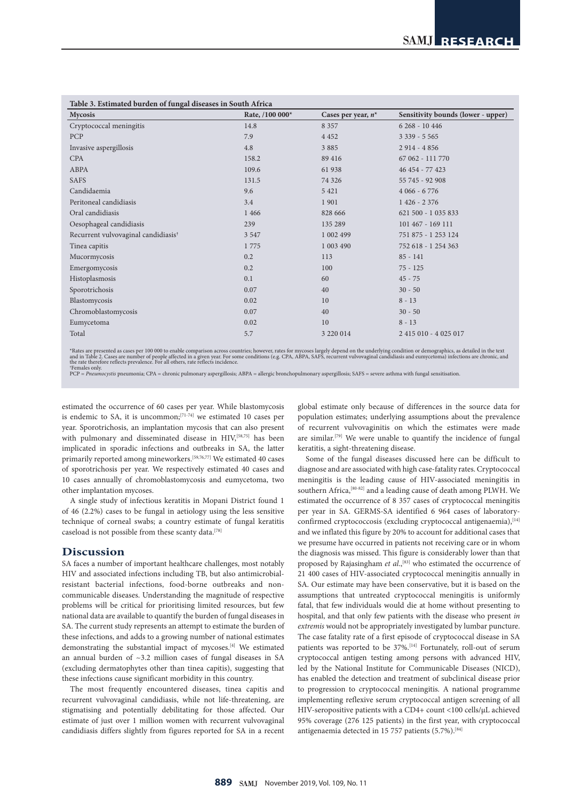| Table 3. Estimated burden of fungal diseases in South Africa |                 |                       |                                    |  |  |  |  |
|--------------------------------------------------------------|-----------------|-----------------------|------------------------------------|--|--|--|--|
| <b>Mycosis</b>                                               | Rate, /100 000* | Cases per year, $n^*$ | Sensitivity bounds (lower - upper) |  |  |  |  |
| Cryptococcal meningitis                                      | 14.8            | 8 3 5 7               | $6268 - 10446$                     |  |  |  |  |
| PCP                                                          | 7.9             | 4 4 5 2               | $3339 - 5565$                      |  |  |  |  |
| Invasive aspergillosis                                       | 4.8             | 3 8 8 5               | $2914 - 4856$                      |  |  |  |  |
| <b>CPA</b>                                                   | 158.2           | 89 416                | 67 062 - 111 770                   |  |  |  |  |
| ABPA                                                         | 109.6           | 61938                 | 46 454 - 77 423                    |  |  |  |  |
| SAFS                                                         | 131.5           | 74 3 26               | 55 745 - 92 908                    |  |  |  |  |
| Candidaemia                                                  | 9.6             | 5 4 2 1               | $4066 - 6776$                      |  |  |  |  |
| Peritoneal candidiasis                                       | 3.4             | 1901                  | $1426 - 2376$                      |  |  |  |  |
| Oral candidiasis                                             | 1 4 6 6         | 828 666               | 621 500 - 1 035 833                |  |  |  |  |
| Oesophageal candidiasis                                      | 239             | 135 289               | 101 467 - 169 111                  |  |  |  |  |
| Recurrent vulvovaginal candidiasis <sup>†</sup>              | 3 5 4 7         | 1 002 499             | 751 875 - 1 253 124                |  |  |  |  |
| Tinea capitis                                                | 1775            | 1 003 490             | 752 618 - 1 254 363                |  |  |  |  |
| Mucormycosis                                                 | 0.2             | 113                   | $85 - 141$                         |  |  |  |  |
| Emergomycosis                                                | 0.2             | 100                   | $75 - 125$                         |  |  |  |  |
| Histoplasmosis                                               | 0.1             | 60                    | $45 - 75$                          |  |  |  |  |
| Sporotrichosis                                               | 0.07            | 40                    | $30 - 50$                          |  |  |  |  |
| Blastomycosis                                                | 0.02            | 10                    | $8 - 13$                           |  |  |  |  |
| Chromoblastomycosis                                          | 0.07            | 40                    | $30 - 50$                          |  |  |  |  |
| Eumycetoma                                                   | 0.02            | 10                    | $8 - 13$                           |  |  |  |  |
| Total                                                        | 5.7             | 3 2 2 0 1 4           | 2 415 010 - 4 025 017              |  |  |  |  |

### **Table 3. Estimated burden of fungal diseases in South Africa**

\*Rates are presented as cases per 100 000 to enable comparison across countries; however, rates for mycoses largely depend on the underlying condition or demographics, as detailed in the text<br>and in Table 2. Cases are numb

PCP = *Pneumocystis* pneumonia; CPA = chronic pulmonary aspergillosis; ABPA = allergic bronchopulmonary aspergillosis; SAFS = severe asthma with fungal sensitisation.

estimated the occurrence of 60 cases per year. While blastomycosis is endemic to SA, it is uncommon;  $[71-74]$  we estimated 10 cases per year. Sporotrichosis, an implantation mycosis that can also present with pulmonary and disseminated disease in HIV,<sup>[58,75]</sup> has been implicated in sporadic infections and outbreaks in SA, the latter primarily reported among mineworkers.<sup>[59,76,77]</sup> We estimated 40 cases of sporotrichosis per year. We respectively estimated 40 cases and 10 cases annually of chromoblastomycosis and eumycetoma, two other implantation mycoses.

A single study of infectious keratitis in Mopani District found 1 of 46 (2.2%) cases to be fungal in aetiology using the less sensitive technique of corneal swabs; a country estimate of fungal keratitis caseload is not possible from these scanty data.<sup>[78]</sup>

## **Discussion**

SA faces a number of important healthcare challenges, most notably HIV and associated infections including TB, but also antimicrobialresistant bacterial infections, food-borne outbreaks and noncommunicable diseases. Understanding the magnitude of respective problems will be critical for prioritising limited resources, but few national data are available to quantify the burden of fungal diseases in SA. The current study represents an attempt to estimate the burden of these infections, and adds to a growing number of national estimates demonstrating the substantial impact of mycoses.[4] We estimated an annual burden of ~3.2 million cases of fungal diseases in SA (excluding dermatophytes other than tinea capitis), suggesting that these infections cause significant morbidity in this country.

The most frequently encountered diseases, tinea capitis and recurrent vulvovaginal candidiasis, while not life-threatening, are stigmatising and potentially debilitating for those affected. Our estimate of just over 1 million women with recurrent vulvovaginal candidiasis differs slightly from figures reported for SA in a recent global estimate only because of differences in the source data for population estimates; underlying assumptions about the prevalence of recurrent vulvovaginitis on which the estimates were made are similar.[79] We were unable to quantify the incidence of fungal keratitis, a sight-threatening disease.

Some of the fungal diseases discussed here can be difficult to diagnose and are associated with high case-fatality rates. Cryptococcal meningitis is the leading cause of HIV-associated meningitis in southern Africa,<sup>[80-82]</sup> and a leading cause of death among PLWH. We estimated the occurrence of 8 357 cases of cryptococcal meningitis per year in SA. GERMS-SA identified 6 964 cases of laboratoryconfirmed cryptococcosis (excluding cryptococcal antigenaemia),  $\left[ ^{14}\right]$ and we inflated this figure by 20% to account for additional cases that we presume have occurred in patients not receiving care or in whom the diagnosis was missed. This figure is considerably lower than that proposed by Rajasingham *et al.*,<sup>[83]</sup> who estimated the occurrence of 21 400 cases of HIV-associated cryptococcal meningitis annually in SA. Our estimate may have been conservative, but it is based on the assumptions that untreated cryptococcal meningitis is uniformly fatal, that few individuals would die at home without presenting to hospital, and that only few patients with the disease who present *in extremis* would not be appropriately investigated by lumbar puncture. The case fatality rate of a first episode of cryptococcal disease in SA patients was reported to be 37%.<sup>[14]</sup> Fortunately, roll-out of serum cryptococcal antigen testing among persons with advanced HIV, led by the National Institute for Communicable Diseases (NICD), has enabled the detection and treatment of subclinical disease prior to progression to cryptococcal meningitis. A national programme implementing reflexive serum cryptococcal antigen screening of all HIV-seropositive patients with a CD4+ count <100 cells/µL achieved 95% coverage (276 125 patients) in the first year, with cryptococcal antigenaemia detected in 15 757 patients (5.7%).<sup>[84]</sup>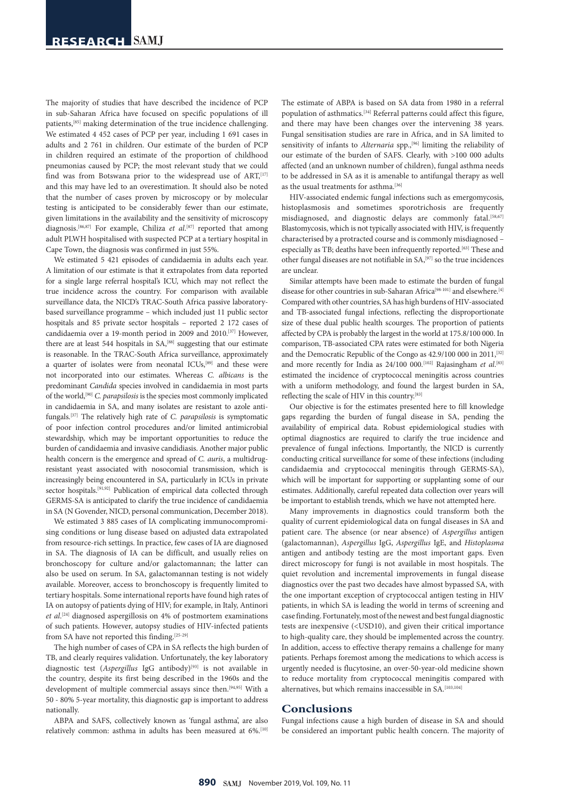The majority of studies that have described the incidence of PCP in sub-Saharan Africa have focused on specific populations of ill patients,[85] making determination of the true incidence challenging. We estimated 4 452 cases of PCP per year, including 1 691 cases in adults and 2 761 in children. Our estimate of the burden of PCP in children required an estimate of the proportion of childhood pneumonias caused by PCP; the most relevant study that we could find was from Botswana prior to the widespread use of ART, [17] and this may have led to an overestimation. It should also be noted that the number of cases proven by microscopy or by molecular testing is anticipated to be considerably fewer than our estimate, given limitations in the availability and the sensitivity of microscopy diagnosis.[86,87] For example, Chiliza *et al*. [87] reported that among adult PLWH hospitalised with suspected PCP at a tertiary hospital in Cape Town, the diagnosis was confirmed in just 55%.

We estimated 5 421 episodes of candidaemia in adults each year. A limitation of our estimate is that it extrapolates from data reported for a single large referral hospital's ICU, which may not reflect the true incidence across the country. For comparison with available surveillance data, the NICD's TRAC-South Africa passive laboratorybased surveillance programme – which included just 11 public sector hospitals and 85 private sector hospitals – reported 2 172 cases of candidaemia over a 19-month period in 2009 and 2010.[37] However, there are at least 544 hospitals in SA,<sup>[88]</sup> suggesting that our estimate is reasonable. In the TRAC-South Africa surveillance, approximately a quarter of isolates were from neonatal ICUs,<sup>[89]</sup> and these were not incorporated into our estimates. Whereas *C. albicans* is the predominant *Candida* species involved in candidaemia in most parts of the world,[90] *C. parapsilosis* is the species most commonly implicated in candidaemia in SA, and many isolates are resistant to azole antifungals.[37] The relatively high rate of *C. parapsilosis* is symptomatic of poor infection control procedures and/or limited antimicrobial stewardship, which may be important opportunities to reduce the burden of candidaemia and invasive candidiasis. Another major public health concern is the emergence and spread of *C. auris*, a multidrugresistant yeast associated with nosocomial transmission, which is increasingly being encountered in SA, particularly in ICUs in private sector hospitals.<sup>[91,92]</sup> Publication of empirical data collected through GERMS-SA is anticipated to clarify the true incidence of candidaemia in SA (N Govender, NICD, personal communication, December 2018).

We estimated 3 885 cases of IA complicating immunocompromising conditions or lung disease based on adjusted data extrapolated from resource-rich settings. In practice, few cases of IA are diagnosed in SA. The diagnosis of IA can be difficult, and usually relies on bronchoscopy for culture and/or galactomannan; the latter can also be used on serum. In SA, galactomannan testing is not widely available. Moreover, access to bronchoscopy is frequently limited to tertiary hospitals. Some international reports have found high rates of IA on autopsy of patients dying of HIV; for example, in Italy, Antinori *et al*. [24] diagnosed aspergillosis on 4% of postmortem examinations of such patients. However, autopsy studies of HIV-infected patients from SA have not reported this finding.[25-29]

The high number of cases of CPA in SA reflects the high burden of TB, and clearly requires validation. Unfortunately, the key laboratory diagnostic test (Aspergillus IgG antibody)<sup>[93]</sup> is not available in the country, despite its first being described in the 1960s and the development of multiple commercial assays since then.[94,95] With a 50 - 80% 5-year mortality, this diagnostic gap is important to address nationally.

ABPA and SAFS, collectively known as 'fungal asthma', are also relatively common: asthma in adults has been measured at 6%.<sup>[10]</sup>

The estimate of ABPA is based on SA data from 1980 in a referral population of asthmatics.[34] Referral patterns could affect this figure, and there may have been changes over the intervening 38 years. Fungal sensitisation studies are rare in Africa, and in SA limited to sensitivity of infants to *Alternaria* spp.,<sup>[96]</sup> limiting the reliability of our estimate of the burden of SAFS. Clearly, with >100 000 adults affected (and an unknown number of children), fungal asthma needs to be addressed in SA as it is amenable to antifungal therapy as well as the usual treatments for asthma.<sup>[36]</sup>

HIV-associated endemic fungal infections such as emergomycosis, histoplasmosis and sometimes sporotrichosis are frequently misdiagnosed, and diagnostic delays are commonly fatal.<sup>[58,67]</sup> Blastomycosis, which is not typically associated with HIV, is frequently characterised by a protracted course and is commonly misdiagnosed – especially as TB; deaths have been infrequently reported.<sup>[63]</sup> These and other fungal diseases are not notifiable in SA,[97] so the true incidences are unclear.

Similar attempts have been made to estimate the burden of fungal disease for other countries in sub-Saharan Africa<sup>[98-101]</sup> and elsewhere.<sup>[4]</sup> Compared with other countries, SA has high burdens of HIV-associated and TB-associated fungal infections, reflecting the disproportionate size of these dual public health scourges. The proportion of patients affected by CPA is probably the largest in the world at 175.8/100 000. In comparison, TB-associated CPA rates were estimated for both Nigeria and the Democratic Republic of the Congo as 42.9/100 000 in 2011,<sup>[32]</sup> and more recently for India as 24/100 000.<sup>[102]</sup> Rajasingham *et al.*<sup>[83]</sup> estimated the incidence of cryptococcal meningitis across countries with a uniform methodology, and found the largest burden in SA, reflecting the scale of HIV in this country.[83]

Our objective is for the estimates presented here to fill knowledge gaps regarding the burden of fungal disease in SA, pending the availability of empirical data. Robust epidemiological studies with optimal diagnostics are required to clarify the true incidence and prevalence of fungal infections. Importantly, the NICD is currently conducting critical surveillance for some of these infections (including candidaemia and cryptococcal meningitis through GERMS-SA), which will be important for supporting or supplanting some of our estimates. Additionally, careful repeated data collection over years will be important to establish trends, which we have not attempted here.

Many improvements in diagnostics could transform both the quality of current epidemiological data on fungal diseases in SA and patient care. The absence (or near absence) of *Aspergillus* antigen (galactomannan), *Aspergillus* IgG, *Aspergillus* IgE, and *Histoplasma* antigen and antibody testing are the most important gaps. Even direct microscopy for fungi is not available in most hospitals. The quiet revolution and incremental improvements in fungal disease diagnostics over the past two decades have almost bypassed SA, with the one important exception of cryptococcal antigen testing in HIV patients, in which SA is leading the world in terms of screening and case finding. Fortunately, most of the newest and best fungal diagnostic tests are inexpensive (<USD10), and given their critical importance to high-quality care, they should be implemented across the country. In addition, access to effective therapy remains a challenge for many patients. Perhaps foremost among the medications to which access is urgently needed is flucytosine, an over-50-year-old medicine shown to reduce mortality from cryptococcal meningitis compared with alternatives, but which remains inaccessible in SA.<sup>[103,104]</sup>

## **Conclusions**

Fungal infections cause a high burden of disease in SA and should be considered an important public health concern. The majority of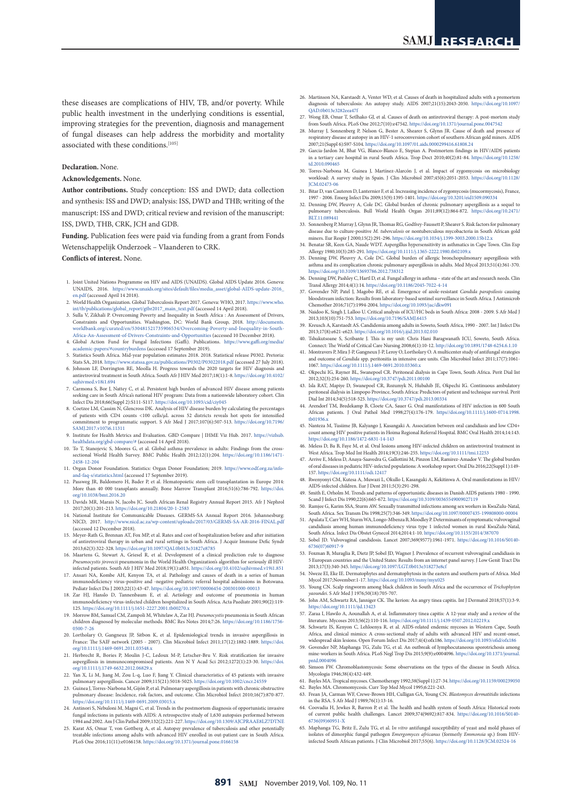these diseases are complications of HIV, TB, and/or poverty. While public health investment in the underlying conditions is essential, improving strategies for the prevention, diagnosis and management of fungal diseases can help address the morbidity and mortality associated with these conditions.<sup>[105]</sup>

#### **Declaration.** None.

#### **Acknowledgements.** None.

**Author contributions.** Study conception: ISS and DWD; data collection and synthesis: ISS and DWD; analysis: ISS, DWD and THB; writing of the manuscript: ISS and DWD; critical review and revision of the manuscript: ISS, DWD, THB, CRK, JCH and GDB.

**Funding.** Publication fees were paid via funding from a grant from Fonds Wetenschappelijk Onderzoek – Vlaanderen to CRK.

#### **Conflicts of interest.** None.

- 1. Joint United Nations Programme on HIV and AIDS (UNAIDS). Global AIDS Update 2016. Geneva: UNAIDS, 2016. [https://www.unaids.org/sites/default/files/media\\_asset/global-AIDS-update-2016\\_](https://www.unaids.org/sites/default/files/media_asset/global-AIDS-update-2016_en.pdf)<br>[en.pdf](https://www.unaids.org/sites/default/files/media_asset/global-AIDS-update-2016_en.pdf) (accessed April 14 2018).<br>2. World Health Organization. Global Tuberculosis Report 2017. Geneva: WHO, 2017. https://www.w
- [int/tb/publications/global\\_report/gtbr2017\\_main\\_text.pdf](https://www.who.int/tb/publications/global_report/gtbr2017_main_text.pdf) (accessed 14 April 2018).
- 3. Sulla V, Zikhali P. Overcoming Poverty and Inequality in South Africa : An Assessment of Drivers Constraints and Opportunities. Washington, DC: World Bank Group, 2018. [http://documents.](http://documents.worldbank.org/curated/en/530481521735906534/Overcoming-Poverty-and-Inequality-in-South-Africa-An-Assessment-of-Drivers-Constraints-and-Opportunities) [worldbank.org/curated/en/530481521735906534/Overcoming-Poverty-and-Inequality-in-South-](http://documents.worldbank.org/curated/en/530481521735906534/Overcoming-Poverty-and-Inequality-in-South-Africa-An-Assessment-of-Drivers-Constraints-and-Opportunities)[Africa-An-Assessment-of-Drivers-Constraints-and-Opportunities](http://documents.worldbank.org/curated/en/530481521735906534/Overcoming-Poverty-and-Inequality-in-South-Africa-An-Assessment-of-Drivers-Constraints-and-Opportunities) (accessed 10 December 2018).<br>Global Action Fund for Fungal Infections (Gaffi). Publications. https://www.gaffi.org/me
- 4. Global Action Fund for Fungal Infections (Gaffi). Publication [academic-papers/#countryburdens](https://www.gaffi.org/media/academic-papers/#countryburdens) (accessed 17 September 2019).
- 5. Statistics South Africa. Mid-year population estimates 2018. 2018. Statistical release P0302. Pretoria: w.za/publications/P0302/P03022018.pdf (accessed 27 July 2018).
- 6. Johnson LF, Dorrington RE, Moolla H. Progress towards the 2020 targets for HIV diagnosis and antiretroviral treatment in South Africa. South Afr J HIV Med 2017;18(1):1-8. [https://doi.org/10.4102/](https://doi.org/10.4102/sajhivmed.v18i1.694) [sajhivmed.v18i1.694](https://doi.org/10.4102/sajhivmed.v18i1.694)
- 7. Carmona S, Bor J, Nattey C, et al. Persistent high burden of advanced HIV disease among patients seeking care in South Africa's national HIV program: Data from a nationwide laboratory cohort. Clin Infect Dis 2018;66(Suppl 2):S111-S117.<https://doi.org/10.1093/cid/ciy045> 8. Coetzee LM, Cassim N, Glencross DK. Analysis of HIV disease burden by calculating the percentages
- of patients with CD4 counts <100 cells/ $\mu$ L across 52 districts reveals hot spots for commitment to programmatic support. S Afr Med J 2017;107(6):507-513. [https://doi.org/10.7196/](https://doi.org/10.7196/SAMJ.2017.v107i6.11311) [SAMJ.2017.v107i6.11311](https://doi.org/10.7196/SAMJ.2017.v107i6.11311)
- 9. Institute for Health Metrics and Evaluation. GBD Compare | IHME Viz Hub. 2017. [https://vizhub.](https://vizhub.healthdata.org/gbd-compare/#) [healthdata.org/gbd-compare/#](https://vizhub.healthdata.org/gbd-compare/#) (accessed 14 April 2018). 10. To T, Stanojevic S, Moores G, et al. Global asthma prevalence in adults: Findings from the cross-
- sectional World Health Survey. BMC Public Health 2012;12(1):204. [https://doi.org/10.1186/1471-](https://doi.org/10.1186/1471-2458-12-204) [2458-12-204](https://doi.org/10.1186/1471-2458-12-204)
- 11. Organ Donor Foundation. Statistics: Organ Donor Foundation; 2019. [https://www.odf.org.za/info](https://www.odf.org.za/info-and-faq-s/statistics.html)[and-faq-s/statistics.html](https://www.odf.org.za/info-and-faq-s/statistics.html) (accessed 17 September 2019).
- 12. Passweg JR, Baldomero H, Bader P, et al. Hematopoietic stem cell transplantation in Europe 2014: More than 40 000 transplants annually. Bone Marrow Transplant 2016;51(6):786-792. [https://doi.](https://doi.org/10.1038/bmt.2016.20) [org/10.1038/bmt.2016.20](https://doi.org/10.1038/bmt.2016.20)
- 13. Davids MR, Marais N, Jacobs JC. South African Renal Registry Annual Report 2015. Afr J Nephrol 2017;20(1):201-213. <https://doi.org/10.21804/20-1-2583>
- 14. National Institute for Communicable Diseases. GERMS-SA Annual Report 2016. Johanne NICD, 2017. <http://www.nicd.ac.za/wp-content/uploads/2017/03/GERMS-SA-AR-2016-FINAL.pdf> (accessed 12 December 2018).
- 15. Meyer-Rath G, Brennan AT, Fox MP, et al. Rates and cost of hospitalization before and after initiation of antiretroviral therapy in urban and rural settings in South Africa. J Acquir Immune Defic Syndr 2013;62(3):322-328. <https://doi.org/10.1097/QAI.0b013e31827e8785>
- 16. Maartens G, Stewart A, Griesel R, et al. Development of a clinical prediction rule to diag *Pneumocystis jirovecii* pneumonia in the World Health Organization's algorithm for seriously ill HIV-infected patients. South Afr J HIV Med 2018;19(1):a851.<https://doi.org/10.4102/sajhivmed.v19i1.851>
- 17. Ansari NA, Kombe AH, Kenyon TA, et al. Pathology and causes of death in a series of human immunodeficiency virus-positive and -negative pediatric referral hospital admissions in Botswana. Pediatr Infect Dis J 2003;22(1):43-47.<https://doi.org/10.1097/00006454-200301000-00013>
- 18. Zar HJ, Hanslo D, Tannenbaum E, et al. Aetiology and outcome of pneumonia in human immunodeficiency virus-infected children hospitalized in South Africa. Acta Paediatr 2001;90(2):119- 125. <https://doi.org/10.1111/j.1651-2227.2001.tb00270.x>
- 19. Morrow BM, Samuel CM, Zampoli M, Whitelaw A, Zar HJ. *Pneumocystis* pneumonia in South African children diagnosed by molecular methods. BMC Res Notes 2014;7:26. [https://doi.org/10.1186/1756-](https://doi.org/10.1186/1756-0500-7-26) [0500-7-26](https://doi.org/10.1186/1756-0500-7-26)
- 20. Lortholary O, Gangneux JP, Sitbon K, et al. Epidemiological trends in invasive aspergillosis in France: The SAIF network (2005 - 2007). Clin Microbiol Infect 2011;17(12):1882-1889. [https://doi.](https://doi.org/10.1111/j.1469-0691.2011.03548.x) [org/10.1111/j.1469-0691.2011.03548.x](https://doi.org/10.1111/j.1469-0691.2011.03548.x)
- 21. Herbrecht R, Bories P, Moulin J-C, Ledoux M-P, Letscher-Bru V. Risk stratification for invasive aspergillosis in immunocompromised patients. Ann N Y Acad Sci 2012;1272(1):23-30. https://doi nocompromised patients. Ann N Y Acad Sci 2012;1272(1):23-30. [https://doi.](https://doi.org/10.1111/j.1749-6632.2012.06829.x) [org/10.1111/j.1749-6632.2012.06829.x](https://doi.org/10.1111/j.1749-6632.2012.06829.x)
- 22. Yan X, Li M, Jiang M, Zou L-q, Luo F, Jiang Y. Clinical characteristics of 45 patients with invasive pulmonary aspergillosis. Cancer 2009;115(21):5018-5025.<https://doi.org/10.1002/cncr.24559>
- 23. Guinea J, Torres-Narbona M, Gijón P, et al. Pulmonary aspergillosis in patients with chronic obstructive pulmonary disease: Incidence, risk factors, and outcome. Clin Microbiol Infect 2010;16(7):870-877. <https://doi.org/10.1111/j.1469-0691.2009.03015.x>
- 24. Antinori S, Nebuloni M, Magni C, et al. Trends in the postmortem diagnosis of opportunistic invasive fungal infections in patients with AIDS: A retrospective study of 1,630 autopsies performed between 1984 and 2002. Am J Clin Pathol 2009;132(2):221-227.<https://doi.org/10.1309/AJCPRAAE8LZ7DTNE>
- 25. Karat AS, Omar T, von Gottberg A, et al. Autopsy prevalence of tuberculosis and other potentially treatable infections among adults with advanced HIV enrolled in out-patient care in South Africa. PLoS One 2016;11(11):e0166158. <https://doi.org/10.1371/journal.pone.0166158>
- 26. Martinson NA, Karstaedt A, Venter WD, et al. Causes of death in hospitalized adults with a premortem diagnosis of tuberculosis: An autopsy study. AIDS 2007;21(15):2043-2050. [https://doi.org/10.1097/](https://doi.org/10.1097/QAD.0b013e3282eea47f) [QAD.0b013e3282eea47f](https://doi.org/10.1097/QAD.0b013e3282eea47f)
- 27. Wong EB, Omar T, Setlhako GJ, et al. Causes of death on antiretroviral therapy: A post-mortem study from South Africa. PLoS One 2012;7(10):e47542. <https://doi.org/10.1371/journal.pone.0047542>
- 28. Murray J, Sonnenberg P, Nelson G, Bester A, Shearer S, Glynn JR. Cause of death and pres respiratory disease at autopsy in an HIV-1 seroconversion cohort of southern African gold miners. AIDS 2007;21(Suppl 6):S97-S104.<https://doi.org/10.1097/01.aids.0000299416.61808.24>
- 29. Garcia-Jardon M, Bhat VG, Blanco-Blanco E, Stepian A. Postmortem findings in HIV/AIDS patients in a tertiary care hospital in rural South Africa. Trop Doct 2010;40(2):81-84. [https://doi.org/10.1258/](https://doi.org/10.1258/td.2010.090465) [td.2010.090465](https://doi.org/10.1258/td.2010.090465)
- 30. Torres-Narbona M, Guinea J, Martínez-Alarcón J, et al. Impact of zygomycosis on microbiology workload: A survey study in Spain. J Clin Microbiol 2007;45(6):2051-2053. [https://doi.org/10.1128/](https://doi.org/10.1128/JCM.02473-06) [JCM.02473-06](https://doi.org/10.1128/JCM.02473-06)
- 31. Bitar D, van Cauteren D, Lanternier F, et al. Increasing incidence of zygomycosis (mucormycosis), France, 1997 - 2006. Emerg Infect Dis 2009;15(9):1395-1401. <https://doi.org/10.3201/eid1509.090334>
- 32. Denning DW, Pleuvry A, Cole DC. Global burden of chronic pulmonary aspergillosis as a sequel to pulmonary tuberculosis. Bull World Health Organ 2011;89(12):864-872. [https://doi.org/10.2471/](https://doi.org/10.2471/BLT.11.089441) .<br>BLT 11.089441
- 33. Sonnenberg P, Murray J, Glynn JR, Thomas RG, Godfrey-Faussett P, Shearer S. Risk factors for pulmonary disease due to culture-positive *M. tuberculosis* or nontuberculous mycobacteria in South African gold miners. Eur Respir J 2000;15(2):291-296. <https://doi.org/10.1034/j.1399-3003.2000.15b12.x>
- 34. Benatar SR, Keen GA, Naude WDT. Aspergillus hypersensitivity in asthmatics in Cape Town. Clin Exp Allergy 1980;10(3):285-291. <https://doi.org/10.1111/j.1365-2222.1980.tb02109.x>
- 35. Denning DW, Pleuvry A, Cole DC. Global burden of allergic bronchopulmonary aspergillosis with asthma and its complication chronic pulmonary aspergillosis in adults. Med Mycol 2013;51(4):361-370. <https://doi.org/10.3109/13693786.2012.738312>
- 36. Denning DW, Pashley C, Hartl D, et al. Fungal allergy in asthma state of the art and research needs. Clin Transl Allergy 2014;4(1):14.<https://doi.org/10.1186/2045-7022-4-14> 37. Govender NP, Patel J, Magobo RE, et al. Emergence of azole-resistant *Candida parapsilosis* causing
- bloodstream infection: Results from laboratory-based sentinel surveillance in South Africa. J Antimicrob Chemother 2016;71(7):1994-2004. <https://doi.org/10.1093/jac/dkw091>
- 38. Naidoo K, Singh J, Lalloo U. Critical analysis of ICU/HC beds in South Africa: 2008 2009. S Afr Med J 2013;103(10):751-753. <https://doi.org/10.7196/SAMJ.6415>
- 39. Kreusch A, Karstaedt AS. Candidemia among adults in Soweto, South Africa, 1990 2007. Int J Infect Dis 2013;17(8):e621-e623.<https://doi.org/10.1016/j.ijid.2013.02.010>
- 40. Tshukutsoane S, Scribante J. This is my unit: Chris Hani Baragwanath ICU, Soweto, South Africa. Connect: The World of Critical Care Nursing 2008;6(1):10-12.<http://doi.org/10.1891/1748-6254.6.1.10>
- 41. Montravers P, Mira J-P, Gangneux J-P, Leroy O, Lortholary O. A multicenter study of antifungal strategies and outcome of *Candida* spp. peritonitis in intensive care units. Clin Microbiol Infect 2011;17(7):1061- 1067.<https://doi.org/10.1111/j.1469-0691.2010.03360.x>
- 42. Okpechi IG, Rayner BL, Swanepoel CR. Peritoneal dialysis in Cape Town, South Africa. Perit Dial Int 2012;32(3):254-260. <https://doi.org/10.3747/pdi.2011.00100>
- 43. Isla RAT, Mapiye D, Swanepoel CR, Rozumyk N, Hubahib JE, Okpechi IG. Continuous ambulatory peritoneal dialysis in Limpopo Province, South Africa: Predictors of patient and technique survival. Perit Dial Int 2014;34(5):518-525.<https://doi.org/10.3747/pdi.2013.00334> 44. Arendorf TM, Bredekamp B, Cloete CA, Sauer G. Oral manifestations of HIV infection in 600 South
- African patients. J Oral Pathol Med 1998;27(4):176-179. https//[doi.org/10.1111/j.1600-0714.1998.](http://doi.org/10.1111/j.1600-0714.1998.tb01936.x) [tb01936.x](http://doi.org/10.1111/j.1600-0714.1998.tb01936.x)
- 45. Nanteza M, Tusiime JB, Kalyango J, Kasangaki A. Association between oral candidiasis and low CD4+ count among HIV positive patients in Hoima Regional Referral Hospital. BMC Oral Health 2014;14:143. <https://doi.org/10.1186/1472-6831-14-143>
- 46. Meless D, Ba B, Faye M, et al. Oral lesions among HIV-infected children on antiretroviral treatment in West Africa. Trop Med Int Health 2014;19(3):246-255. <https://doi.org/10.1111/tmi.12253>
- 47. Arrive E, Meless D, Anaya-Saavedra G, Gallottini M, Pinzon LM, Ramirez-Amador V. The global burden of oral diseases in pediatric HIV-infected populations: A workshop report. Oral Dis 2016;22(Suppl 1):149- 157. <https://doi.org/10.1111/odi.12417>
- 48. Rwenyonyi CM, Kutesa A, Muwazi L, Okullo I, Kasangaki A, Kekitinwa A. Oral manifestations in HIV/ AIDS-infected children. Eur J Dent 2011;5(3):291-298.
- 49. Smith E, Orholm M. Trends and patterns of opportunistic diseases in Danish AIDS patients 1980 1990. Scand J Infect Dis 1990;22(6):665-672. <https://doi.org/10.3109/00365549009027119>
- 50. Ramjee G, Karim SSA, Sturm AW. Sexually transmitted infections among sex workers in KwaZulu-Natal, South Africa. Sex Transm Dis 1998;25(7):346-349.<https://doi.org/10.1097/00007435-199808000-00004>
- 51. Apalata T, Carr WH, Sturm WA, Longo-Mbenza B, Moodley P. Determinants of symptomatic vulvovaginal candidiasis among human immunodeficiency virus type 1 infected women in rural KwaZulu-Natal,
- South Africa. Infect Dis Obstet Gynecol 2014;2014:1-10.<https://doi.org/10.1155/2014/387070> 52. Sobel JD. Vulvovaginal candidosis. Lancet 2007;369(9577):1961-1971. [https://doi.org/10.1016/S0140-](https://doi.org/10.1016/S0140-6736(07)60917-9) [6736\(07\)60917-9](https://doi.org/10.1016/S0140-6736(07)60917-9)
- 53. Foxman B, Muraglia R, Dietz JP, Sobel JD, Wagner J. Prevalence of recurrent vulvovaginal candidiasis in 5 European countries and the United States: Results from an internet panel survey. J Low Genit Tract Dis 2013;17(3):340-345. <https://doi.org/10.1097/LGT.0b013e318273e8cf>
- 54. Nweze EI, Eke IE. Dermatophytes and dermatophytosis in the eastern and southern parts of Africa. Med Mycol 2017;November:1-17. <https://doi.org/10.1093/mmy/myx025>
- 55. Young CN. Scalp ringworm among black children in South Africa and the occurrence of *Trichophyton yaoundei*. S Afr Med J 1976;50(18):705-707.
- 56. John AM, Schwartz RA, Janniger CK. The kerion: An angry tinea capitis. Int J Dermatol 2018;57(1):3-9. <https://doi.org/10.1111/ijd.13423>
- 57. Zaraa I, Hawilo A, Aounallah A, et al. Inflammatory tinea capitis: A 12-year study and a review of the literature. Mycoses 2013;56(2):110-116. <https://doi.org/10.1111/j.1439-0507.2012.02219.x> 58. Schwartz IS, Kenyon C, Lehloenya R, et al. AIDS-related endemic mycoses in Western Cape, South
- Africa, and clinical mimics: A cross-sectional study of adults with advanced HIV and recent-onset, widespread skin lesions. Open Forum Infect Dis 2017;4(4):ofx186.<https://doi.org/10.1093/ofid/ofx186> 59. Govender NP, Maphanga TG, Zulu TG, et al. An outbreak of lymphocutaneous sporotrichosis among
- mine-workers in South Africa. PLoS Negl Trop Dis 2015;9(9):e0004096. [https://doi.org/10.1371/journal.](https://doi.org/10.1371/journal.pntd.0004096) [pntd.0004096](https://doi.org/10.1371/journal.pntd.0004096)<br>Simson FW. Chro oblastomycosis: Some observations on the types of the disease in South Africa.
- Mycologia 1946;38(4):432-449. 61. Bayles MA. Tropical mycoses. Chemotherapy 1992;38(Suppl 1):27-34.<https://doi.org/10.1159/000239050>
- 62. Bayles MA. Chromomycosis. Curr Top Med Mycol 1995;6:221-243. 63. Frean JA, Carman WF, Crewe-Brown HH, Culligan GA, Young CN. *Blastomyces dermatitidis* infections
- in the RSA. S Afr Med J 1989;76(1):13-16. 64. Coovadia H, Jewkes R, Barron P, et al. The health and health system of South Africa: Historical roots
- of current public health challenges. Lancet 2009;374(9692):817-834. [https://doi.org/10.1016/S0140-](https://doi.org/10.1016/S0140-6736(09)60951-X) [6736\(09\)60951-X](https://doi.org/10.1016/S0140-6736(09)60951-X)
- 65. Maphanga TG, Britz E, Zulu TG, et al. I*n vitro* antifungal susceptibility of yeast and mold phases of isolates of dimorphic fungal pathogen *Emergomyces africanus* (formerly *Emmonsia* sp.) from HIVinfected South African patients. J Clin Microbiol 2017;55(6).<https://doi.org/10.1128/JCM.02524-16>